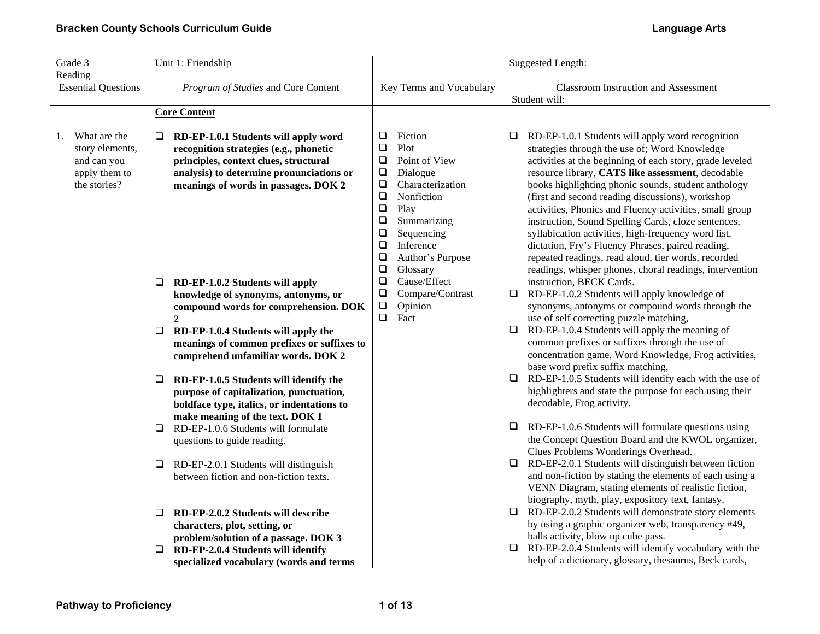| Grade 3<br>Reading                                                                    | Unit 1: Friendship                                                                                                                                                                                          |                                                                                                                                                              | <b>Suggested Length:</b>                                                                                                                                                                                                                                                                                                                                                                      |
|---------------------------------------------------------------------------------------|-------------------------------------------------------------------------------------------------------------------------------------------------------------------------------------------------------------|--------------------------------------------------------------------------------------------------------------------------------------------------------------|-----------------------------------------------------------------------------------------------------------------------------------------------------------------------------------------------------------------------------------------------------------------------------------------------------------------------------------------------------------------------------------------------|
| <b>Essential Questions</b>                                                            | Program of Studies and Core Content                                                                                                                                                                         | Key Terms and Vocabulary                                                                                                                                     | <b>Classroom Instruction and Assessment</b><br>Student will:                                                                                                                                                                                                                                                                                                                                  |
|                                                                                       | <b>Core Content</b>                                                                                                                                                                                         |                                                                                                                                                              |                                                                                                                                                                                                                                                                                                                                                                                               |
| What are the<br>1.<br>story elements,<br>and can you<br>apply them to<br>the stories? | RD-EP-1.0.1 Students will apply word<br>recognition strategies (e.g., phonetic<br>principles, context clues, structural<br>analysis) to determine pronunciations or<br>meanings of words in passages. DOK 2 | Fiction<br>$\Box$<br>$\Box$<br>Plot<br>$\Box$<br>Point of View<br>$\Box$<br>Dialogue<br>$\Box$<br>Characterization<br>$\Box$<br>Nonfiction<br>$\Box$<br>Play | RD-EP-1.0.1 Students will apply word recognition<br>⊔<br>strategies through the use of; Word Knowledge<br>activities at the beginning of each story, grade leveled<br>resource library, CATS like assessment, decodable<br>books highlighting phonic sounds, student anthology<br>(first and second reading discussions), workshop<br>activities, Phonics and Fluency activities, small group |
|                                                                                       |                                                                                                                                                                                                             | $\Box$<br>Summarizing<br>Sequencing<br>$\Box$<br>$\Box$<br>Inference<br>$\Box$<br>Author's Purpose<br>$\Box$<br>Glossary                                     | instruction, Sound Spelling Cards, cloze sentences,<br>syllabication activities, high-frequency word list,<br>dictation, Fry's Fluency Phrases, paired reading,<br>repeated readings, read aloud, tier words, recorded<br>readings, whisper phones, choral readings, intervention                                                                                                             |
|                                                                                       | RD-EP-1.0.2 Students will apply<br>⊔<br>knowledge of synonyms, antonyms, or<br>compound words for comprehension. DOK<br>$\mathbf{2}$                                                                        | Cause/Effect<br>$\Box$<br>Compare/Contrast<br>$\Box$<br>$\Box$<br>Opinion<br>$\Box$<br>Fact                                                                  | instruction, BECK Cards.<br>RD-EP-1.0.2 Students will apply knowledge of<br>$\Box$<br>synonyms, antonyms or compound words through the<br>use of self correcting puzzle matching,                                                                                                                                                                                                             |
|                                                                                       | RD-EP-1.0.4 Students will apply the<br>❏<br>meanings of common prefixes or suffixes to<br>comprehend unfamiliar words. DOK 2                                                                                |                                                                                                                                                              | RD-EP-1.0.4 Students will apply the meaning of<br>$\Box$<br>common prefixes or suffixes through the use of<br>concentration game, Word Knowledge, Frog activities,<br>base word prefix suffix matching,                                                                                                                                                                                       |
|                                                                                       | RD-EP-1.0.5 Students will identify the<br>❏<br>purpose of capitalization, punctuation,<br>boldface type, italics, or indentations to<br>make meaning of the text. DOK 1                                     |                                                                                                                                                              | RD-EP-1.0.5 Students will identify each with the use of<br>□<br>highlighters and state the purpose for each using their<br>decodable, Frog activity.                                                                                                                                                                                                                                          |
|                                                                                       | RD-EP-1.0.6 Students will formulate<br>❏<br>questions to guide reading.                                                                                                                                     |                                                                                                                                                              | $\Box$ RD-EP-1.0.6 Students will formulate questions using<br>the Concept Question Board and the KWOL organizer,<br>Clues Problems Wonderings Overhead.                                                                                                                                                                                                                                       |
|                                                                                       | RD-EP-2.0.1 Students will distinguish<br>⊔<br>between fiction and non-fiction texts.                                                                                                                        |                                                                                                                                                              | RD-EP-2.0.1 Students will distinguish between fiction<br>□<br>and non-fiction by stating the elements of each using a<br>VENN Diagram, stating elements of realistic fiction,<br>biography, myth, play, expository text, fantasy.                                                                                                                                                             |
|                                                                                       | RD-EP-2.0.2 Students will describe<br>⊔<br>characters, plot, setting, or                                                                                                                                    |                                                                                                                                                              | RD-EP-2.0.2 Students will demonstrate story elements<br>❏<br>by using a graphic organizer web, transparency #49,                                                                                                                                                                                                                                                                              |
|                                                                                       | problem/solution of a passage. DOK 3<br>RD-EP-2.0.4 Students will identify<br>Q.<br>specialized vocabulary (words and terms                                                                                 |                                                                                                                                                              | balls activity, blow up cube pass.<br>$\Box$ RD-EP-2.0.4 Students will identify vocabulary with the<br>help of a dictionary, glossary, thesaurus, Beck cards,                                                                                                                                                                                                                                 |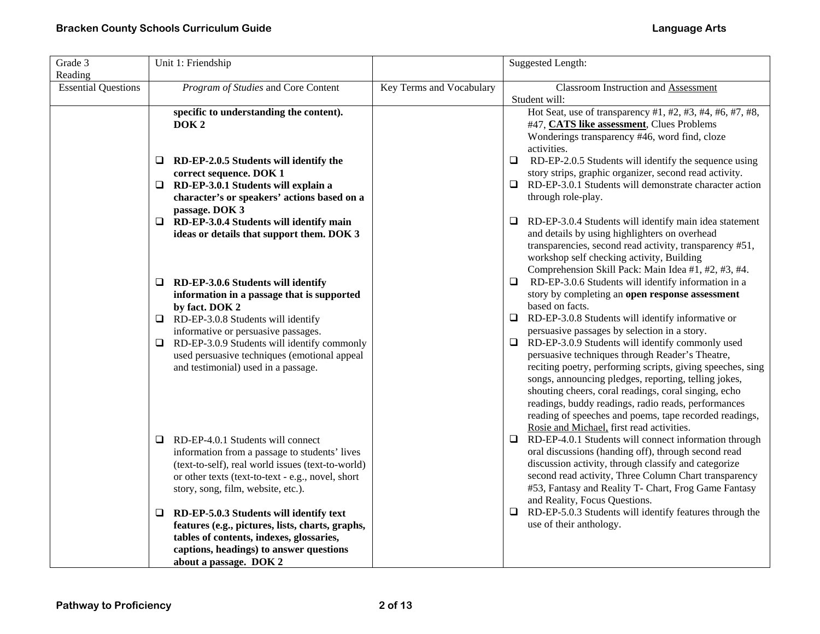| Grade 3<br>Reading         | Unit 1: Friendship                                                                                                                                                                                                                      |                          | <b>Suggested Length:</b>                                                                                                                                                                                                                                                                                                                                                                                                                               |
|----------------------------|-----------------------------------------------------------------------------------------------------------------------------------------------------------------------------------------------------------------------------------------|--------------------------|--------------------------------------------------------------------------------------------------------------------------------------------------------------------------------------------------------------------------------------------------------------------------------------------------------------------------------------------------------------------------------------------------------------------------------------------------------|
| <b>Essential Questions</b> | Program of Studies and Core Content                                                                                                                                                                                                     | Key Terms and Vocabulary | <b>Classroom Instruction and Assessment</b><br>Student will:                                                                                                                                                                                                                                                                                                                                                                                           |
|                            | specific to understanding the content).<br>DOK <sub>2</sub>                                                                                                                                                                             |                          | Hot Seat, use of transparency #1, #2, #3, #4, #6, #7, #8,<br>#47, CATS like assessment, Clues Problems<br>Wonderings transparency #46, word find, cloze<br>activities.                                                                                                                                                                                                                                                                                 |
|                            | RD-EP-2.0.5 Students will identify the<br>⊔<br>correct sequence. DOK 1                                                                                                                                                                  |                          | RD-EP-2.0.5 Students will identify the sequence using<br>$\Box$<br>story strips, graphic organizer, second read activity.                                                                                                                                                                                                                                                                                                                              |
|                            | $\Box$ RD-EP-3.0.1 Students will explain a<br>character's or speakers' actions based on a<br>passage. DOK 3                                                                                                                             |                          | $\Box$ RD-EP-3.0.1 Students will demonstrate character action<br>through role-play.                                                                                                                                                                                                                                                                                                                                                                    |
|                            | $\Box$ RD-EP-3.0.4 Students will identify main<br>ideas or details that support them. DOK 3                                                                                                                                             |                          | $\Box$ RD-EP-3.0.4 Students will identify main idea statement<br>and details by using highlighters on overhead<br>transparencies, second read activity, transparency #51,<br>workshop self checking activity, Building<br>Comprehension Skill Pack: Main Idea #1, #2, #3, #4.                                                                                                                                                                          |
|                            | RD-EP-3.0.6 Students will identify<br>⊔<br>information in a passage that is supported<br>by fact. DOK 2                                                                                                                                 |                          | RD-EP-3.0.6 Students will identify information in a<br>□<br>story by completing an open response assessment<br>based on facts.                                                                                                                                                                                                                                                                                                                         |
|                            | $\Box$ RD-EP-3.0.8 Students will identify<br>informative or persuasive passages.                                                                                                                                                        |                          | $\Box$ RD-EP-3.0.8 Students will identify informative or<br>persuasive passages by selection in a story.                                                                                                                                                                                                                                                                                                                                               |
|                            | RD-EP-3.0.9 Students will identify commonly<br>0.<br>used persuasive techniques (emotional appeal<br>and testimonial) used in a passage.                                                                                                |                          | $\Box$ RD-EP-3.0.9 Students will identify commonly used<br>persuasive techniques through Reader's Theatre,<br>reciting poetry, performing scripts, giving speeches, sing<br>songs, announcing pledges, reporting, telling jokes,<br>shouting cheers, coral readings, coral singing, echo<br>readings, buddy readings, radio reads, performances<br>reading of speeches and poems, tape recorded readings,<br>Rosie and Michael, first read activities. |
|                            | RD-EP-4.0.1 Students will connect<br>❏<br>information from a passage to students' lives<br>(text-to-self), real world issues (text-to-world)<br>or other texts (text-to-text - e.g., novel, short<br>story, song, film, website, etc.). |                          | $\Box$ RD-EP-4.0.1 Students will connect information through<br>oral discussions (handing off), through second read<br>discussion activity, through classify and categorize<br>second read activity, Three Column Chart transparency<br>#53, Fantasy and Reality T- Chart, Frog Game Fantasy<br>and Reality, Focus Questions.                                                                                                                          |
|                            | RD-EP-5.0.3 Students will identify text<br>Q<br>features (e.g., pictures, lists, charts, graphs,<br>tables of contents, indexes, glossaries,<br>captions, headings) to answer questions<br>about a passage. DOK 2                       |                          | RD-EP-5.0.3 Students will identify features through the<br>u.<br>use of their anthology.                                                                                                                                                                                                                                                                                                                                                               |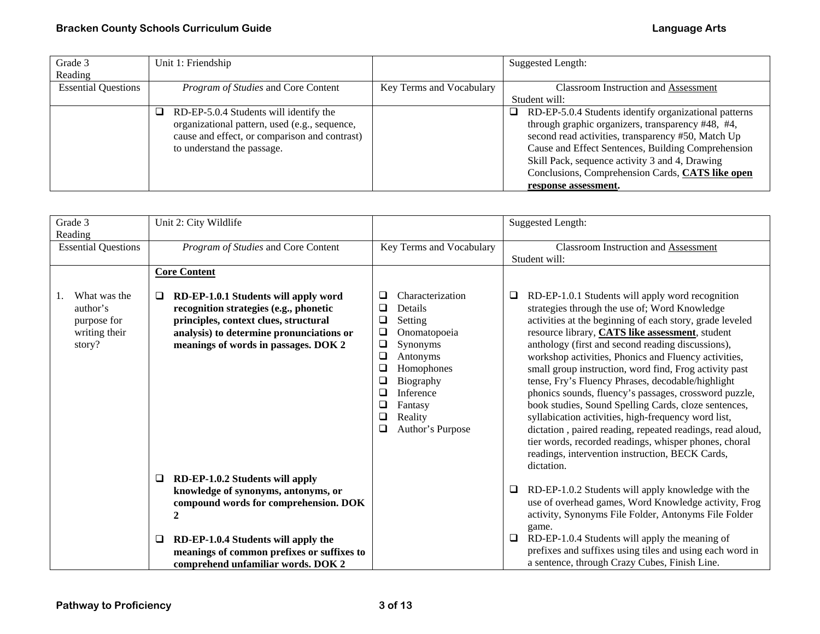| Grade 3                    | Unit 1: Friendship                                                                                                                                                          |                          | <b>Suggested Length:</b>                                                                                                                                                                                                                                                                                                                                   |
|----------------------------|-----------------------------------------------------------------------------------------------------------------------------------------------------------------------------|--------------------------|------------------------------------------------------------------------------------------------------------------------------------------------------------------------------------------------------------------------------------------------------------------------------------------------------------------------------------------------------------|
| Reading                    |                                                                                                                                                                             |                          |                                                                                                                                                                                                                                                                                                                                                            |
| <b>Essential Questions</b> | Program of Studies and Core Content                                                                                                                                         | Key Terms and Vocabulary | <b>Classroom Instruction and Assessment</b>                                                                                                                                                                                                                                                                                                                |
|                            |                                                                                                                                                                             |                          | Student will:                                                                                                                                                                                                                                                                                                                                              |
|                            | RD-EP-5.0.4 Students will identify the<br>⊔<br>organizational pattern, used (e.g., sequence,<br>cause and effect, or comparison and contrast)<br>to understand the passage. |                          | RD-EP-5.0.4 Students identify organizational patterns<br>□.<br>through graphic organizers, transparency #48, #4,<br>second read activities, transparency #50, Match Up<br>Cause and Effect Sentences, Building Comprehension<br>Skill Pack, sequence activity 3 and 4, Drawing<br>Conclusions, Comprehension Cards, CATS like open<br>response assessment. |

| Grade 3                                                            | Unit 2: City Wildlife                                                                                                                                                                                       |                                                                                                                                                                                                                                                       | <b>Suggested Length:</b>                                                                                                                                                                                                                                                                                                                                                                                                                                                                                                                                                                                                                                                                                                                                                                                   |
|--------------------------------------------------------------------|-------------------------------------------------------------------------------------------------------------------------------------------------------------------------------------------------------------|-------------------------------------------------------------------------------------------------------------------------------------------------------------------------------------------------------------------------------------------------------|------------------------------------------------------------------------------------------------------------------------------------------------------------------------------------------------------------------------------------------------------------------------------------------------------------------------------------------------------------------------------------------------------------------------------------------------------------------------------------------------------------------------------------------------------------------------------------------------------------------------------------------------------------------------------------------------------------------------------------------------------------------------------------------------------------|
|                                                                    |                                                                                                                                                                                                             |                                                                                                                                                                                                                                                       |                                                                                                                                                                                                                                                                                                                                                                                                                                                                                                                                                                                                                                                                                                                                                                                                            |
| Reading                                                            |                                                                                                                                                                                                             |                                                                                                                                                                                                                                                       |                                                                                                                                                                                                                                                                                                                                                                                                                                                                                                                                                                                                                                                                                                                                                                                                            |
| <b>Essential Questions</b>                                         | Program of Studies and Core Content                                                                                                                                                                         | Key Terms and Vocabulary                                                                                                                                                                                                                              | Classroom Instruction and Assessment                                                                                                                                                                                                                                                                                                                                                                                                                                                                                                                                                                                                                                                                                                                                                                       |
|                                                                    |                                                                                                                                                                                                             |                                                                                                                                                                                                                                                       | Student will:                                                                                                                                                                                                                                                                                                                                                                                                                                                                                                                                                                                                                                                                                                                                                                                              |
|                                                                    | <b>Core Content</b>                                                                                                                                                                                         |                                                                                                                                                                                                                                                       |                                                                                                                                                                                                                                                                                                                                                                                                                                                                                                                                                                                                                                                                                                                                                                                                            |
|                                                                    |                                                                                                                                                                                                             |                                                                                                                                                                                                                                                       |                                                                                                                                                                                                                                                                                                                                                                                                                                                                                                                                                                                                                                                                                                                                                                                                            |
| What was the<br>author's<br>purpose for<br>writing their<br>story? | RD-EP-1.0.1 Students will apply word<br>recognition strategies (e.g., phonetic<br>principles, context clues, structural<br>analysis) to determine pronunciations or<br>meanings of words in passages. DOK 2 | Characterization<br>❏<br>□<br>Details<br>$\Box$<br>Setting<br>$\Box$<br>Onomatopoeia<br>$\Box$<br>Synonyms<br>$\Box$<br>Antonyms<br>□<br>Homophones<br>□<br>Biography<br>$\Box$<br>Inference<br>□<br>Fantasy<br>□<br>Reality<br>❏<br>Author's Purpose | RD-EP-1.0.1 Students will apply word recognition<br>❏<br>strategies through the use of; Word Knowledge<br>activities at the beginning of each story, grade leveled<br>resource library, <b>CATS like assessment</b> , student<br>anthology (first and second reading discussions),<br>workshop activities, Phonics and Fluency activities,<br>small group instruction, word find, Frog activity past<br>tense, Fry's Fluency Phrases, decodable/highlight<br>phonics sounds, fluency's passages, crossword puzzle,<br>book studies, Sound Spelling Cards, cloze sentences,<br>syllabication activities, high-frequency word list,<br>dictation, paired reading, repeated readings, read aloud,<br>tier words, recorded readings, whisper phones, choral<br>readings, intervention instruction, BECK Cards, |
|                                                                    |                                                                                                                                                                                                             |                                                                                                                                                                                                                                                       | dictation.                                                                                                                                                                                                                                                                                                                                                                                                                                                                                                                                                                                                                                                                                                                                                                                                 |
|                                                                    | RD-EP-1.0.2 Students will apply<br>$\Box$                                                                                                                                                                   |                                                                                                                                                                                                                                                       |                                                                                                                                                                                                                                                                                                                                                                                                                                                                                                                                                                                                                                                                                                                                                                                                            |
|                                                                    | knowledge of synonyms, antonyms, or<br>compound words for comprehension. DOK                                                                                                                                |                                                                                                                                                                                                                                                       | RD-EP-1.0.2 Students will apply knowledge with the<br>□<br>use of overhead games, Word Knowledge activity, Frog<br>activity, Synonyms File Folder, Antonyms File Folder                                                                                                                                                                                                                                                                                                                                                                                                                                                                                                                                                                                                                                    |
|                                                                    |                                                                                                                                                                                                             |                                                                                                                                                                                                                                                       | game.                                                                                                                                                                                                                                                                                                                                                                                                                                                                                                                                                                                                                                                                                                                                                                                                      |
|                                                                    | RD-EP-1.0.4 Students will apply the<br>□                                                                                                                                                                    |                                                                                                                                                                                                                                                       | RD-EP-1.0.4 Students will apply the meaning of<br>⊔                                                                                                                                                                                                                                                                                                                                                                                                                                                                                                                                                                                                                                                                                                                                                        |
|                                                                    | meanings of common prefixes or suffixes to                                                                                                                                                                  |                                                                                                                                                                                                                                                       | prefixes and suffixes using tiles and using each word in                                                                                                                                                                                                                                                                                                                                                                                                                                                                                                                                                                                                                                                                                                                                                   |
|                                                                    | comprehend unfamiliar words. DOK 2                                                                                                                                                                          |                                                                                                                                                                                                                                                       | a sentence, through Crazy Cubes, Finish Line.                                                                                                                                                                                                                                                                                                                                                                                                                                                                                                                                                                                                                                                                                                                                                              |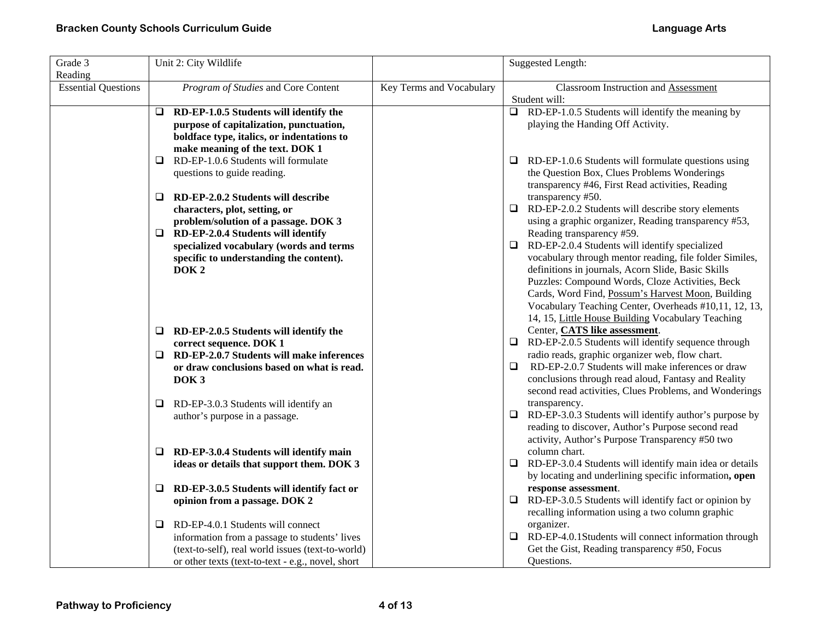| Grade 3                    | Unit 2: City Wildlife                             |                          | Suggested Length:                                                                                    |
|----------------------------|---------------------------------------------------|--------------------------|------------------------------------------------------------------------------------------------------|
| Reading                    |                                                   |                          |                                                                                                      |
| <b>Essential Questions</b> | Program of Studies and Core Content               | Key Terms and Vocabulary | <b>Classroom Instruction and Assessment</b><br>Student will:                                         |
|                            | RD-EP-1.0.5 Students will identify the<br>⊔       |                          | RD-EP-1.0.5 Students will identify the meaning by<br>$\Box$                                          |
|                            | purpose of capitalization, punctuation,           |                          | playing the Handing Off Activity.                                                                    |
|                            | boldface type, italics, or indentations to        |                          |                                                                                                      |
|                            | make meaning of the text. DOK 1                   |                          |                                                                                                      |
|                            | RD-EP-1.0.6 Students will formulate<br>□          |                          | $\Box$<br>RD-EP-1.0.6 Students will formulate questions using                                        |
|                            | questions to guide reading.                       |                          | the Question Box, Clues Problems Wonderings                                                          |
|                            |                                                   |                          | transparency #46, First Read activities, Reading                                                     |
|                            | RD-EP-2.0.2 Students will describe<br>❏           |                          | transparency #50.                                                                                    |
|                            | characters, plot, setting, or                     |                          | $\Box$ RD-EP-2.0.2 Students will describe story elements                                             |
|                            | problem/solution of a passage. DOK 3              |                          | using a graphic organizer, Reading transparency #53,                                                 |
|                            | RD-EP-2.0.4 Students will identify<br>❏           |                          | Reading transparency #59.                                                                            |
|                            | specialized vocabulary (words and terms           |                          | $\Box$ RD-EP-2.0.4 Students will identify specialized                                                |
|                            | specific to understanding the content).           |                          | vocabulary through mentor reading, file folder Similes,                                              |
|                            | DOK <sub>2</sub>                                  |                          | definitions in journals, Acorn Slide, Basic Skills                                                   |
|                            |                                                   |                          | Puzzles: Compound Words, Cloze Activities, Beck<br>Cards, Word Find, Possum's Harvest Moon, Building |
|                            |                                                   |                          | Vocabulary Teaching Center, Overheads #10,11, 12, 13,                                                |
|                            |                                                   |                          | 14, 15, Little House Building Vocabulary Teaching                                                    |
|                            | RD-EP-2.0.5 Students will identify the<br>⊔       |                          | Center, CATS like assessment.                                                                        |
|                            | correct sequence. DOK 1                           |                          | $\Box$ RD-EP-2.0.5 Students will identify sequence through                                           |
|                            | RD-EP-2.0.7 Students will make inferences<br>□    |                          | radio reads, graphic organizer web, flow chart.                                                      |
|                            | or draw conclusions based on what is read.        |                          | $\Box$<br>RD-EP-2.0.7 Students will make inferences or draw                                          |
|                            | DOK <sub>3</sub>                                  |                          | conclusions through read aloud, Fantasy and Reality                                                  |
|                            |                                                   |                          | second read activities, Clues Problems, and Wonderings                                               |
|                            | RD-EP-3.0.3 Students will identify an<br>□        |                          | transparency.                                                                                        |
|                            | author's purpose in a passage.                    |                          | $\Box$ RD-EP-3.0.3 Students will identify author's purpose by                                        |
|                            |                                                   |                          | reading to discover, Author's Purpose second read                                                    |
|                            |                                                   |                          | activity, Author's Purpose Transparency #50 two<br>column chart.                                     |
|                            | RD-EP-3.0.4 Students will identify main<br>□      |                          | $\Box$ RD-EP-3.0.4 Students will identify main idea or details                                       |
|                            | ideas or details that support them. DOK 3         |                          | by locating and underlining specific information, open                                               |
|                            | RD-EP-3.0.5 Students will identify fact or<br>⊔   |                          | response assessment.                                                                                 |
|                            | opinion from a passage. DOK 2                     |                          | RD-EP-3.0.5 Students will identify fact or opinion by<br>$\Box$                                      |
|                            |                                                   |                          | recalling information using a two column graphic                                                     |
|                            | RD-EP-4.0.1 Students will connect<br>⊔            |                          | organizer.                                                                                           |
|                            | information from a passage to students' lives     |                          | $\Box$ RD-EP-4.0.1Students will connect information through                                          |
|                            | (text-to-self), real world issues (text-to-world) |                          | Get the Gist, Reading transparency #50, Focus                                                        |
|                            | or other texts (text-to-text - e.g., novel, short |                          | Questions.                                                                                           |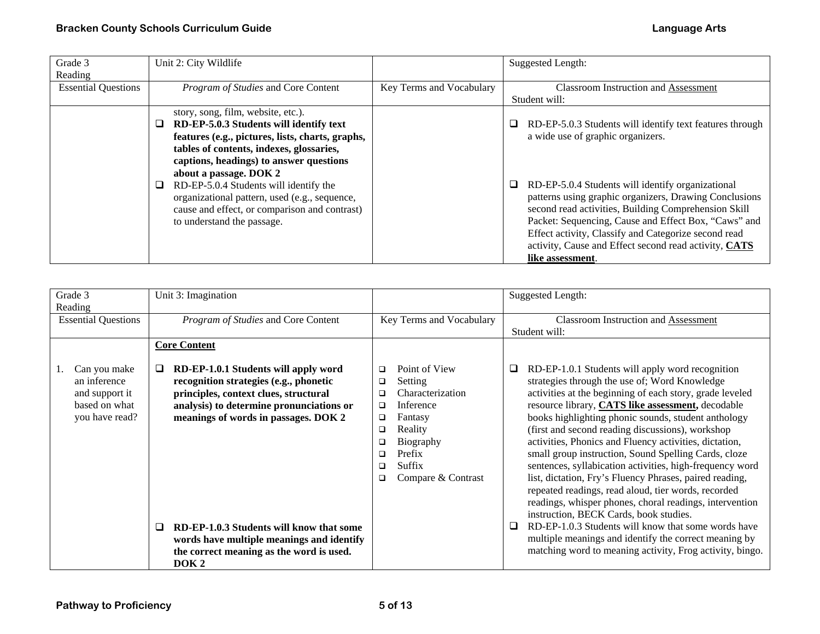| Grade 3                    | Unit 2: City Wildlife                                                                                                                                                                                                                              |                          | Suggested Length:                                                                                                                                                                                                                                                                                                                                                |
|----------------------------|----------------------------------------------------------------------------------------------------------------------------------------------------------------------------------------------------------------------------------------------------|--------------------------|------------------------------------------------------------------------------------------------------------------------------------------------------------------------------------------------------------------------------------------------------------------------------------------------------------------------------------------------------------------|
| Reading                    |                                                                                                                                                                                                                                                    |                          |                                                                                                                                                                                                                                                                                                                                                                  |
| <b>Essential Questions</b> | Program of Studies and Core Content                                                                                                                                                                                                                | Key Terms and Vocabulary | <b>Classroom Instruction and Assessment</b>                                                                                                                                                                                                                                                                                                                      |
|                            |                                                                                                                                                                                                                                                    |                          | Student will:                                                                                                                                                                                                                                                                                                                                                    |
|                            | story, song, film, website, etc.).<br>RD-EP-5.0.3 Students will identify text<br>features (e.g., pictures, lists, charts, graphs,<br>tables of contents, indexes, glossaries,<br>captions, headings) to answer questions<br>about a passage. DOK 2 |                          | RD-EP-5.0.3 Students will identify text features through<br>❏<br>a wide use of graphic organizers.                                                                                                                                                                                                                                                               |
|                            | RD-EP-5.0.4 Students will identify the<br>organizational pattern, used (e.g., sequence,<br>cause and effect, or comparison and contrast)<br>to understand the passage.                                                                             |                          | RD-EP-5.0.4 Students will identify organizational<br>patterns using graphic organizers, Drawing Conclusions<br>second read activities, Building Comprehension Skill<br>Packet: Sequencing, Cause and Effect Box, "Caws" and<br>Effect activity, Classify and Categorize second read<br>activity, Cause and Effect second read activity, CATS<br>like assessment. |

| Grade 3<br>Reading                                                                | Unit 3: Imagination                                                                                                                                                                                                                                                                                                                                                            |                                                                                                                                                                                                                        | <b>Suggested Length:</b>                                                                                                                                                                                                                                                                                                                                                                                                                                                                                                                                                                                                                                                                                                                                                                                                                                                                                                 |
|-----------------------------------------------------------------------------------|--------------------------------------------------------------------------------------------------------------------------------------------------------------------------------------------------------------------------------------------------------------------------------------------------------------------------------------------------------------------------------|------------------------------------------------------------------------------------------------------------------------------------------------------------------------------------------------------------------------|--------------------------------------------------------------------------------------------------------------------------------------------------------------------------------------------------------------------------------------------------------------------------------------------------------------------------------------------------------------------------------------------------------------------------------------------------------------------------------------------------------------------------------------------------------------------------------------------------------------------------------------------------------------------------------------------------------------------------------------------------------------------------------------------------------------------------------------------------------------------------------------------------------------------------|
| <b>Essential Questions</b>                                                        | Program of Studies and Core Content                                                                                                                                                                                                                                                                                                                                            | Key Terms and Vocabulary                                                                                                                                                                                               | Classroom Instruction and Assessment<br>Student will:                                                                                                                                                                                                                                                                                                                                                                                                                                                                                                                                                                                                                                                                                                                                                                                                                                                                    |
|                                                                                   | <b>Core Content</b>                                                                                                                                                                                                                                                                                                                                                            |                                                                                                                                                                                                                        |                                                                                                                                                                                                                                                                                                                                                                                                                                                                                                                                                                                                                                                                                                                                                                                                                                                                                                                          |
| Can you make<br>an inference<br>and support it<br>based on what<br>you have read? | RD-EP-1.0.1 Students will apply word<br>u<br>recognition strategies (e.g., phonetic<br>principles, context clues, structural<br>analysis) to determine pronunciations or<br>meanings of words in passages. DOK 2<br>RD-EP-1.0.3 Students will know that some<br>◻<br>words have multiple meanings and identify<br>the correct meaning as the word is used.<br>DOK <sub>2</sub> | Point of View<br>$\Box$<br>Setting<br>$\Box$<br>Characterization<br>□<br>Inference<br>$\Box$<br>Fantasy<br>$\Box$<br>Reality<br>$\Box$<br>Biography<br>□<br>Prefix<br>□<br>Suffix<br>$\Box$<br>Compare & Contrast<br>□ | RD-EP-1.0.1 Students will apply word recognition<br>⊔<br>strategies through the use of; Word Knowledge<br>activities at the beginning of each story, grade leveled<br>resource library, CATS like assessment, decodable<br>books highlighting phonic sounds, student anthology<br>(first and second reading discussions), workshop<br>activities, Phonics and Fluency activities, dictation,<br>small group instruction, Sound Spelling Cards, cloze<br>sentences, syllabication activities, high-frequency word<br>list, dictation, Fry's Fluency Phrases, paired reading,<br>repeated readings, read aloud, tier words, recorded<br>readings, whisper phones, choral readings, intervention<br>instruction, BECK Cards, book studies.<br>RD-EP-1.0.3 Students will know that some words have<br>□<br>multiple meanings and identify the correct meaning by<br>matching word to meaning activity, Frog activity, bingo. |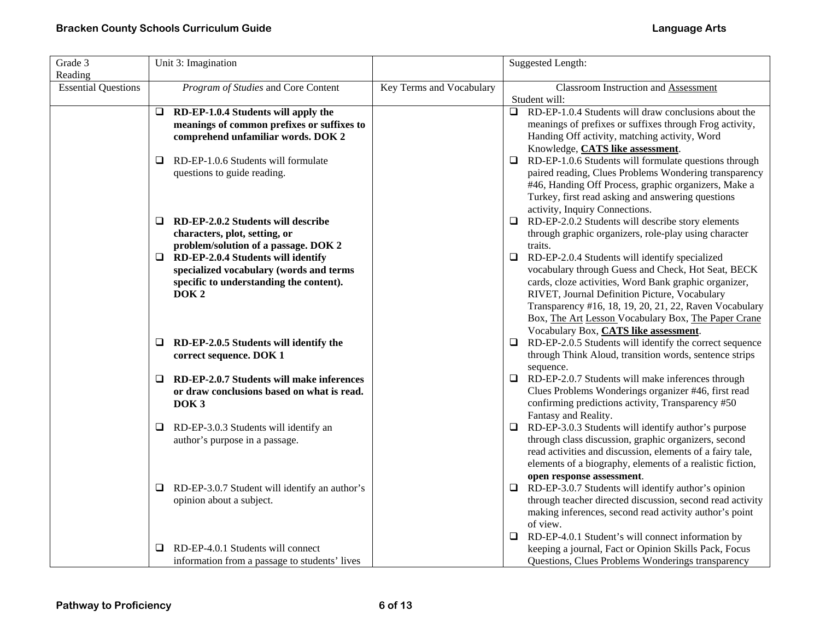| Grade 3<br>Reading         | Unit 3: Imagination                                                                                                                                                                            |                          | <b>Suggested Length:</b>                                                                                                                                                                                                                                                                                                                                                                      |
|----------------------------|------------------------------------------------------------------------------------------------------------------------------------------------------------------------------------------------|--------------------------|-----------------------------------------------------------------------------------------------------------------------------------------------------------------------------------------------------------------------------------------------------------------------------------------------------------------------------------------------------------------------------------------------|
| <b>Essential Questions</b> | Program of Studies and Core Content                                                                                                                                                            | Key Terms and Vocabulary | <b>Classroom Instruction and Assessment</b><br>Student will:                                                                                                                                                                                                                                                                                                                                  |
|                            | $\Box$ RD-EP-1.0.4 Students will apply the<br>meanings of common prefixes or suffixes to<br>comprehend unfamiliar words. DOK 2                                                                 |                          | RD-EP-1.0.4 Students will draw conclusions about the<br>$\Box$<br>meanings of prefixes or suffixes through Frog activity,<br>Handing Off activity, matching activity, Word<br>Knowledge, CATS like assessment.                                                                                                                                                                                |
|                            | RD-EP-1.0.6 Students will formulate<br>Q<br>questions to guide reading.                                                                                                                        |                          | RD-EP-1.0.6 Students will formulate questions through<br>□<br>paired reading, Clues Problems Wondering transparency<br>#46, Handing Off Process, graphic organizers, Make a<br>Turkey, first read asking and answering questions<br>activity, Inquiry Connections.                                                                                                                            |
|                            | RD-EP-2.0.2 Students will describe<br>⊔<br>characters, plot, setting, or                                                                                                                       |                          | $\Box$ RD-EP-2.0.2 Students will describe story elements<br>through graphic organizers, role-play using character                                                                                                                                                                                                                                                                             |
|                            | problem/solution of a passage. DOK 2<br>RD-EP-2.0.4 Students will identify<br>$\Box$<br>specialized vocabulary (words and terms<br>specific to understanding the content).<br>DOK <sub>2</sub> |                          | traits.<br>RD-EP-2.0.4 Students will identify specialized<br>$\Box$<br>vocabulary through Guess and Check, Hot Seat, BECK<br>cards, cloze activities, Word Bank graphic organizer,<br>RIVET, Journal Definition Picture, Vocabulary<br>Transparency #16, 18, 19, 20, 21, 22, Raven Vocabulary<br>Box, The Art Lesson Vocabulary Box, The Paper Crane<br>Vocabulary Box, CATS like assessment. |
|                            | RD-EP-2.0.5 Students will identify the<br>⊔<br>correct sequence. DOK 1                                                                                                                         |                          | $\Box$ RD-EP-2.0.5 Students will identify the correct sequence<br>through Think Aloud, transition words, sentence strips<br>sequence.                                                                                                                                                                                                                                                         |
|                            | RD-EP-2.0.7 Students will make inferences<br>❏<br>or draw conclusions based on what is read.<br>DOK <sub>3</sub>                                                                               |                          | RD-EP-2.0.7 Students will make inferences through<br>⊔<br>Clues Problems Wonderings organizer #46, first read<br>confirming predictions activity, Transparency #50<br>Fantasy and Reality.                                                                                                                                                                                                    |
|                            | RD-EP-3.0.3 Students will identify an<br>❏<br>author's purpose in a passage.                                                                                                                   |                          | RD-EP-3.0.3 Students will identify author's purpose<br>□<br>through class discussion, graphic organizers, second<br>read activities and discussion, elements of a fairy tale,<br>elements of a biography, elements of a realistic fiction,<br>open response assessment.                                                                                                                       |
|                            | RD-EP-3.0.7 Student will identify an author's<br>⊔<br>opinion about a subject.                                                                                                                 |                          | $\Box$ RD-EP-3.0.7 Students will identify author's opinion<br>through teacher directed discussion, second read activity<br>making inferences, second read activity author's point<br>of view.                                                                                                                                                                                                 |
|                            | RD-EP-4.0.1 Students will connect<br>❏<br>information from a passage to students' lives                                                                                                        |                          | $\Box$ RD-EP-4.0.1 Student's will connect information by<br>keeping a journal, Fact or Opinion Skills Pack, Focus<br>Questions, Clues Problems Wonderings transparency                                                                                                                                                                                                                        |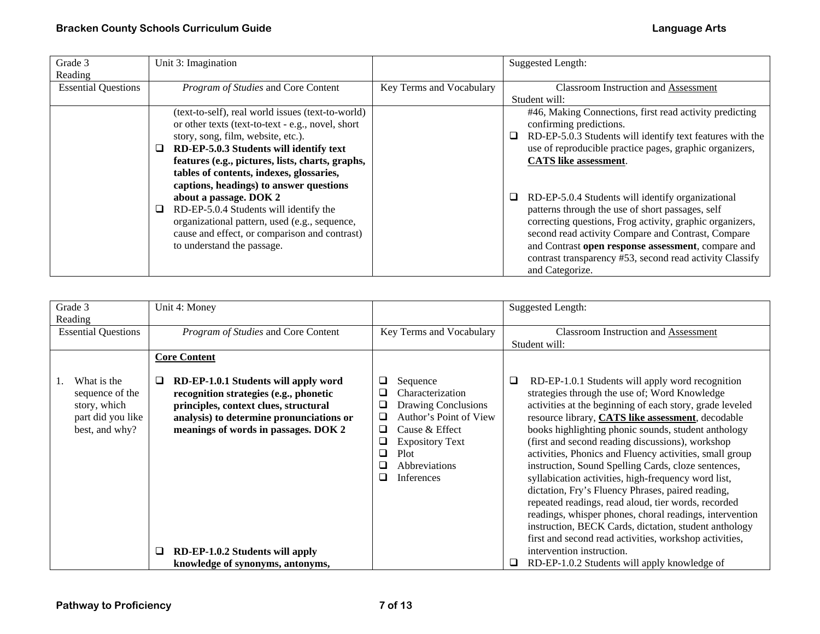| Grade 3                    | Unit 3: Imagination                               |                          | Suggested Length:                                              |
|----------------------------|---------------------------------------------------|--------------------------|----------------------------------------------------------------|
| Reading                    |                                                   |                          |                                                                |
| <b>Essential Questions</b> | Program of Studies and Core Content               | Key Terms and Vocabulary | <b>Classroom Instruction and Assessment</b>                    |
|                            |                                                   |                          | Student will:                                                  |
|                            | (text-to-self), real world issues (text-to-world) |                          | #46, Making Connections, first read activity predicting        |
|                            | or other texts (text-to-text - e.g., novel, short |                          | confirming predictions.                                        |
|                            | story, song, film, website, etc.).                |                          | RD-EP-5.0.3 Students will identify text features with the<br>□ |
|                            | RD-EP-5.0.3 Students will identify text<br>⊔      |                          | use of reproducible practice pages, graphic organizers,        |
|                            | features (e.g., pictures, lists, charts, graphs,  |                          | <b>CATS</b> like assessment.                                   |
|                            | tables of contents, indexes, glossaries,          |                          |                                                                |
|                            | captions, headings) to answer questions           |                          |                                                                |
|                            | about a passage. DOK 2                            |                          | RD-EP-5.0.4 Students will identify organizational<br>⊔         |
|                            | RD-EP-5.0.4 Students will identify the            |                          | patterns through the use of short passages, self               |
|                            | organizational pattern, used (e.g., sequence,     |                          | correcting questions, Frog activity, graphic organizers,       |
|                            | cause and effect, or comparison and contrast)     |                          | second read activity Compare and Contrast, Compare             |
|                            | to understand the passage.                        |                          | and Contrast open response assessment, compare and             |
|                            |                                                   |                          | contrast transparency #53, second read activity Classify       |
|                            |                                                   |                          |                                                                |
|                            |                                                   |                          | and Categorize.                                                |

| Grade 3<br>Reading                                                                    | Unit 4: Money                                                                                                                                                                                                    |                                                                                                                                                                                                                      | <b>Suggested Length:</b>                                                                                                                                                                                                                                                                                                                                                                                                                                                                                                                                                                                                                                                                                                                                                                                      |
|---------------------------------------------------------------------------------------|------------------------------------------------------------------------------------------------------------------------------------------------------------------------------------------------------------------|----------------------------------------------------------------------------------------------------------------------------------------------------------------------------------------------------------------------|---------------------------------------------------------------------------------------------------------------------------------------------------------------------------------------------------------------------------------------------------------------------------------------------------------------------------------------------------------------------------------------------------------------------------------------------------------------------------------------------------------------------------------------------------------------------------------------------------------------------------------------------------------------------------------------------------------------------------------------------------------------------------------------------------------------|
| <b>Essential Questions</b>                                                            | Program of Studies and Core Content                                                                                                                                                                              | Key Terms and Vocabulary                                                                                                                                                                                             | <b>Classroom Instruction and Assessment</b><br>Student will:                                                                                                                                                                                                                                                                                                                                                                                                                                                                                                                                                                                                                                                                                                                                                  |
|                                                                                       | <b>Core Content</b>                                                                                                                                                                                              |                                                                                                                                                                                                                      |                                                                                                                                                                                                                                                                                                                                                                                                                                                                                                                                                                                                                                                                                                                                                                                                               |
| What is the<br>sequence of the<br>story, which<br>part did you like<br>best, and why? | RD-EP-1.0.1 Students will apply word<br>⊔<br>recognition strategies (e.g., phonetic<br>principles, context clues, structural<br>analysis) to determine pronunciations or<br>meanings of words in passages. DOK 2 | ❏<br>Sequence<br>□<br>Characterization<br>❏<br>Drawing Conclusions<br>Author's Point of View<br>□<br>❏<br>Cause & Effect<br>❏<br><b>Expository Text</b><br>Plot<br>❏<br>□<br><b>Abbreviations</b><br>□<br>Inferences | RD-EP-1.0.1 Students will apply word recognition<br>Q<br>strategies through the use of; Word Knowledge<br>activities at the beginning of each story, grade leveled<br>resource library, <b>CATS like assessment</b> , decodable<br>books highlighting phonic sounds, student anthology<br>(first and second reading discussions), workshop<br>activities, Phonics and Fluency activities, small group<br>instruction, Sound Spelling Cards, cloze sentences,<br>syllabication activities, high-frequency word list,<br>dictation, Fry's Fluency Phrases, paired reading,<br>repeated readings, read aloud, tier words, recorded<br>readings, whisper phones, choral readings, intervention<br>instruction, BECK Cards, dictation, student anthology<br>first and second read activities, workshop activities, |
|                                                                                       | RD-EP-1.0.2 Students will apply<br>❏<br>knowledge of synonyms, antonyms,                                                                                                                                         |                                                                                                                                                                                                                      | intervention instruction.<br>RD-EP-1.0.2 Students will apply knowledge of<br>❏                                                                                                                                                                                                                                                                                                                                                                                                                                                                                                                                                                                                                                                                                                                                |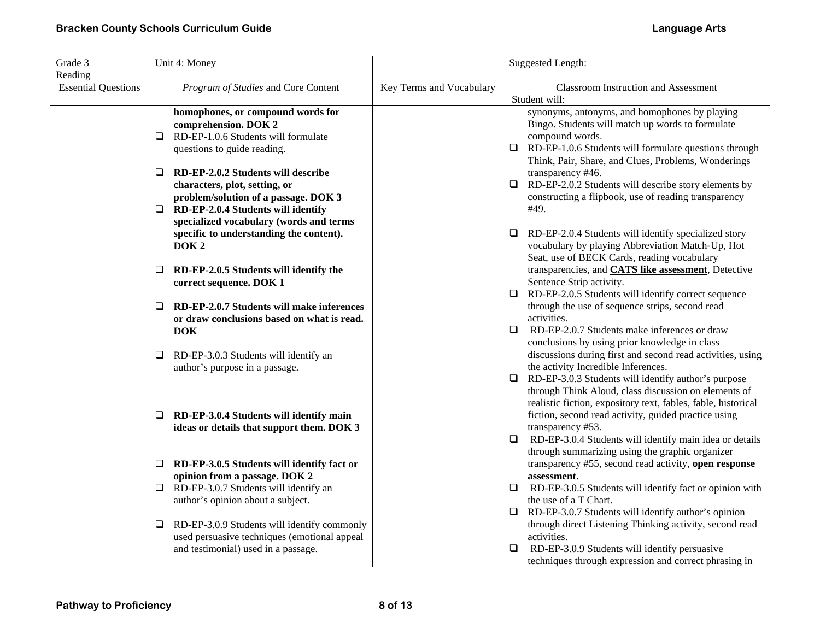| Grade 3                    | Unit 4: Money                                                      |                          | <b>Suggested Length:</b>                                                                                              |
|----------------------------|--------------------------------------------------------------------|--------------------------|-----------------------------------------------------------------------------------------------------------------------|
| Reading                    |                                                                    |                          |                                                                                                                       |
| <b>Essential Questions</b> | Program of Studies and Core Content                                | Key Terms and Vocabulary | <b>Classroom Instruction and Assessment</b>                                                                           |
|                            |                                                                    |                          | Student will:                                                                                                         |
|                            | homophones, or compound words for                                  |                          | synonyms, antonyms, and homophones by playing<br>Bingo. Students will match up words to formulate                     |
|                            | comprehension. DOK 2<br>$\Box$ RD-EP-1.0.6 Students will formulate |                          | compound words.                                                                                                       |
|                            | questions to guide reading.                                        |                          | $\Box$ RD-EP-1.0.6 Students will formulate questions through                                                          |
|                            |                                                                    |                          | Think, Pair, Share, and Clues, Problems, Wonderings                                                                   |
|                            | RD-EP-2.0.2 Students will describe<br>Q                            |                          | transparency #46.                                                                                                     |
|                            | characters, plot, setting, or                                      |                          | RD-EP-2.0.2 Students will describe story elements by<br>$\Box$                                                        |
|                            | problem/solution of a passage. DOK 3                               |                          | constructing a flipbook, use of reading transparency                                                                  |
|                            | RD-EP-2.0.4 Students will identify<br>⊔                            |                          | #49.                                                                                                                  |
|                            | specialized vocabulary (words and terms                            |                          |                                                                                                                       |
|                            | specific to understanding the content).                            |                          | RD-EP-2.0.4 Students will identify specialized story<br>u.                                                            |
|                            | DOK <sub>2</sub>                                                   |                          | vocabulary by playing Abbreviation Match-Up, Hot                                                                      |
|                            |                                                                    |                          | Seat, use of BECK Cards, reading vocabulary                                                                           |
|                            | RD-EP-2.0.5 Students will identify the<br>Q                        |                          | transparencies, and <b>CATS like assessment</b> , Detective                                                           |
|                            | correct sequence. DOK 1                                            |                          | Sentence Strip activity.                                                                                              |
|                            |                                                                    |                          | RD-EP-2.0.5 Students will identify correct sequence<br>$\Box$                                                         |
|                            | RD-EP-2.0.7 Students will make inferences<br>❏                     |                          | through the use of sequence strips, second read                                                                       |
|                            | or draw conclusions based on what is read.                         |                          | activities.                                                                                                           |
|                            | <b>DOK</b>                                                         |                          | RD-EP-2.0.7 Students make inferences or draw<br>□                                                                     |
|                            |                                                                    |                          | conclusions by using prior knowledge in class                                                                         |
|                            | RD-EP-3.0.3 Students will identify an<br>⊔                         |                          | discussions during first and second read activities, using                                                            |
|                            | author's purpose in a passage.                                     |                          | the activity Incredible Inferences.                                                                                   |
|                            |                                                                    |                          | RD-EP-3.0.3 Students will identify author's purpose<br>$\Box$<br>through Think Aloud, class discussion on elements of |
|                            |                                                                    |                          | realistic fiction, expository text, fables, fable, historical                                                         |
|                            | RD-EP-3.0.4 Students will identify main<br>⊔                       |                          | fiction, second read activity, guided practice using                                                                  |
|                            | ideas or details that support them. DOK 3                          |                          | transparency #53.                                                                                                     |
|                            |                                                                    |                          | RD-EP-3.0.4 Students will identify main idea or details<br>⊔                                                          |
|                            |                                                                    |                          | through summarizing using the graphic organizer                                                                       |
|                            | $\Box$ RD-EP-3.0.5 Students will identify fact or                  |                          | transparency #55, second read activity, open response                                                                 |
|                            | opinion from a passage. DOK 2                                      |                          | assessment.                                                                                                           |
|                            | $\Box$ RD-EP-3.0.7 Students will identify an                       |                          | RD-EP-3.0.5 Students will identify fact or opinion with<br>$\Box$                                                     |
|                            | author's opinion about a subject.                                  |                          | the use of a T Chart.                                                                                                 |
|                            |                                                                    |                          | RD-EP-3.0.7 Students will identify author's opinion<br>$\Box$                                                         |
|                            | RD-EP-3.0.9 Students will identify commonly<br>❏                   |                          | through direct Listening Thinking activity, second read                                                               |
|                            | used persuasive techniques (emotional appeal                       |                          | activities.                                                                                                           |
|                            | and testimonial) used in a passage.                                |                          | RD-EP-3.0.9 Students will identify persuasive<br>⊔                                                                    |
|                            |                                                                    |                          | techniques through expression and correct phrasing in                                                                 |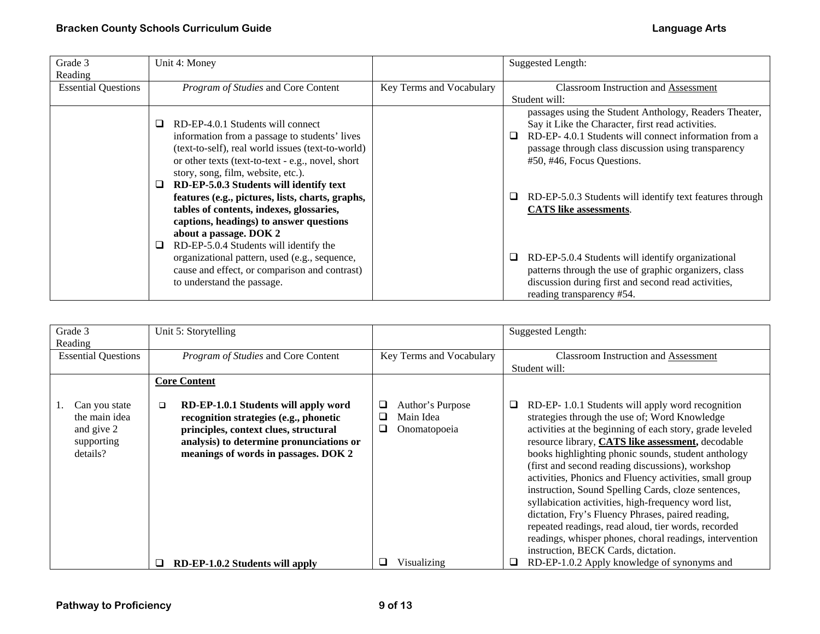| Grade 3                    | Unit 4: Money                                                                                                                                                                                                                                                                                                                                                                                                                                      |                          | <b>Suggested Length:</b>                                                                                                                                                                                                                                                                                                                                        |
|----------------------------|----------------------------------------------------------------------------------------------------------------------------------------------------------------------------------------------------------------------------------------------------------------------------------------------------------------------------------------------------------------------------------------------------------------------------------------------------|--------------------------|-----------------------------------------------------------------------------------------------------------------------------------------------------------------------------------------------------------------------------------------------------------------------------------------------------------------------------------------------------------------|
| Reading                    |                                                                                                                                                                                                                                                                                                                                                                                                                                                    |                          |                                                                                                                                                                                                                                                                                                                                                                 |
| <b>Essential Questions</b> | Program of Studies and Core Content                                                                                                                                                                                                                                                                                                                                                                                                                | Key Terms and Vocabulary | <b>Classroom Instruction and Assessment</b><br>Student will:                                                                                                                                                                                                                                                                                                    |
|                            | RD-EP-4.0.1 Students will connect<br>information from a passage to students' lives<br>(text-to-self), real world issues (text-to-world)<br>or other texts (text-to-text - e.g., novel, short<br>story, song, film, website, etc.).<br>RD-EP-5.0.3 Students will identify text<br>features (e.g., pictures, lists, charts, graphs,<br>tables of contents, indexes, glossaries,<br>captions, headings) to answer questions<br>about a passage. DOK 2 |                          | passages using the Student Anthology, Readers Theater,<br>Say it Like the Character, first read activities.<br>RD-EP-4.0.1 Students will connect information from a<br>⊔<br>passage through class discussion using transparency<br>#50, #46, Focus Questions.<br>RD-EP-5.0.3 Students will identify text features through<br>⊔<br><b>CATS</b> like assessments. |
|                            | RD-EP-5.0.4 Students will identify the<br>organizational pattern, used (e.g., sequence,<br>cause and effect, or comparison and contrast)<br>to understand the passage.                                                                                                                                                                                                                                                                             |                          | RD-EP-5.0.4 Students will identify organizational<br>⊔<br>patterns through the use of graphic organizers, class<br>discussion during first and second read activities,<br>reading transparency #54.                                                                                                                                                             |

| Grade 3                                                                | Unit 5: Storytelling                                                                                                                                                                                                  |                                                              | <b>Suggested Length:</b>                                                                                                                                                                                                                                                                                                                                                                                                                                                                                                                                                                                                                                                                                                   |
|------------------------------------------------------------------------|-----------------------------------------------------------------------------------------------------------------------------------------------------------------------------------------------------------------------|--------------------------------------------------------------|----------------------------------------------------------------------------------------------------------------------------------------------------------------------------------------------------------------------------------------------------------------------------------------------------------------------------------------------------------------------------------------------------------------------------------------------------------------------------------------------------------------------------------------------------------------------------------------------------------------------------------------------------------------------------------------------------------------------------|
| Reading                                                                |                                                                                                                                                                                                                       |                                                              |                                                                                                                                                                                                                                                                                                                                                                                                                                                                                                                                                                                                                                                                                                                            |
| <b>Essential Questions</b>                                             | Program of Studies and Core Content                                                                                                                                                                                   | Key Terms and Vocabulary                                     | <b>Classroom Instruction and Assessment</b>                                                                                                                                                                                                                                                                                                                                                                                                                                                                                                                                                                                                                                                                                |
|                                                                        |                                                                                                                                                                                                                       |                                                              | Student will:                                                                                                                                                                                                                                                                                                                                                                                                                                                                                                                                                                                                                                                                                                              |
|                                                                        | <b>Core Content</b>                                                                                                                                                                                                   |                                                              |                                                                                                                                                                                                                                                                                                                                                                                                                                                                                                                                                                                                                                                                                                                            |
|                                                                        |                                                                                                                                                                                                                       |                                                              |                                                                                                                                                                                                                                                                                                                                                                                                                                                                                                                                                                                                                                                                                                                            |
| Can you state<br>the main idea<br>and give 2<br>supporting<br>details? | RD-EP-1.0.1 Students will apply word<br>$\Box$<br>recognition strategies (e.g., phonetic<br>principles, context clues, structural<br>analysis) to determine pronunciations or<br>meanings of words in passages. DOK 2 | Author's Purpose<br>⊔<br>Main Idea<br>❏<br>Onomatopoeia<br>⊔ | RD-EP-1.0.1 Students will apply word recognition<br>u.<br>strategies through the use of; Word Knowledge<br>activities at the beginning of each story, grade leveled<br>resource library, CATS like assessment, decodable<br>books highlighting phonic sounds, student anthology<br>(first and second reading discussions), workshop<br>activities, Phonics and Fluency activities, small group<br>instruction, Sound Spelling Cards, cloze sentences,<br>syllabication activities, high-frequency word list,<br>dictation, Fry's Fluency Phrases, paired reading,<br>repeated readings, read aloud, tier words, recorded<br>readings, whisper phones, choral readings, intervention<br>instruction, BECK Cards, dictation. |
|                                                                        | RD-EP-1.0.2 Students will apply<br>❏                                                                                                                                                                                  | Visualizing<br>⊔                                             | RD-EP-1.0.2 Apply knowledge of synonyms and<br>⊔                                                                                                                                                                                                                                                                                                                                                                                                                                                                                                                                                                                                                                                                           |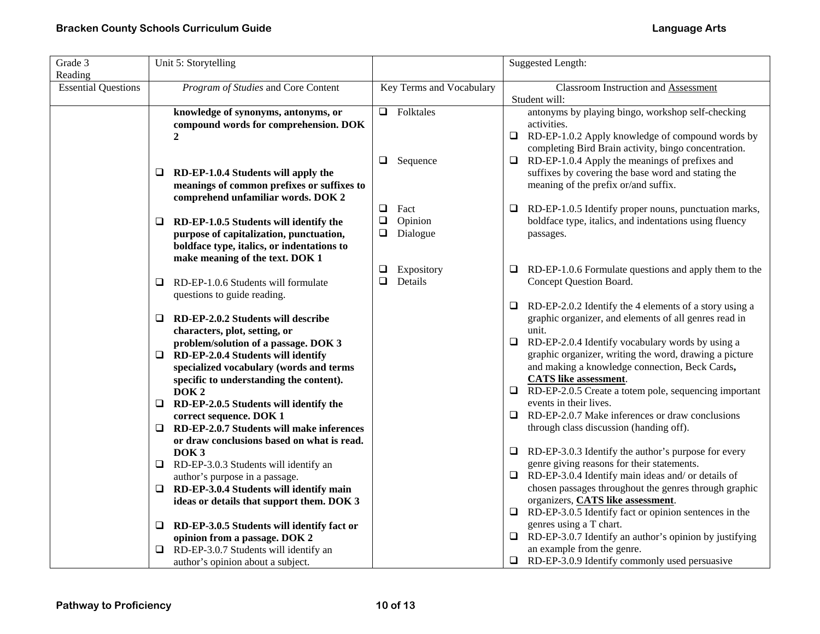| Grade 3                               | Unit 5: Storytelling                                                          |        |                          |        | <b>Suggested Length:</b>                                                                               |
|---------------------------------------|-------------------------------------------------------------------------------|--------|--------------------------|--------|--------------------------------------------------------------------------------------------------------|
| Reading<br><b>Essential Questions</b> | Program of Studies and Core Content                                           |        | Key Terms and Vocabulary |        | <b>Classroom Instruction and Assessment</b>                                                            |
|                                       |                                                                               |        |                          |        | Student will:                                                                                          |
|                                       | knowledge of synonyms, antonyms, or                                           |        | $\Box$ Folktales         |        | antonyms by playing bingo, workshop self-checking                                                      |
|                                       | compound words for comprehension. DOK                                         |        |                          |        | activities.                                                                                            |
|                                       | $\overline{2}$                                                                |        |                          |        | $\Box$ RD-EP-1.0.2 Apply knowledge of compound words by                                                |
|                                       |                                                                               | $\Box$ |                          | $\Box$ | completing Bird Brain activity, bingo concentration.<br>RD-EP-1.0.4 Apply the meanings of prefixes and |
|                                       | RD-EP-1.0.4 Students will apply the<br>⊔                                      |        | Sequence                 |        | suffixes by covering the base word and stating the                                                     |
|                                       | meanings of common prefixes or suffixes to                                    |        |                          |        | meaning of the prefix or/and suffix.                                                                   |
|                                       | comprehend unfamiliar words. DOK 2                                            |        |                          |        |                                                                                                        |
|                                       |                                                                               | $\Box$ | Fact                     | ⊔      | RD-EP-1.0.5 Identify proper nouns, punctuation marks,                                                  |
|                                       | RD-EP-1.0.5 Students will identify the<br>⊔                                   | $\Box$ | Opinion                  |        | boldface type, italics, and indentations using fluency                                                 |
|                                       | purpose of capitalization, punctuation,                                       | ❏      | Dialogue                 |        | passages.                                                                                              |
|                                       | boldface type, italics, or indentations to<br>make meaning of the text. DOK 1 |        |                          |        |                                                                                                        |
|                                       |                                                                               | ❏      | Expository               | ⊔      | RD-EP-1.0.6 Formulate questions and apply them to the                                                  |
|                                       | RD-EP-1.0.6 Students will formulate<br>□                                      | □      | Details                  |        | Concept Question Board.                                                                                |
|                                       | questions to guide reading.                                                   |        |                          |        |                                                                                                        |
|                                       |                                                                               |        |                          | $\Box$ | RD-EP-2.0.2 Identify the 4 elements of a story using a                                                 |
|                                       | RD-EP-2.0.2 Students will describe<br>□                                       |        |                          |        | graphic organizer, and elements of all genres read in                                                  |
|                                       | characters, plot, setting, or<br>problem/solution of a passage. DOK 3         |        |                          | $\Box$ | unit.<br>RD-EP-2.0.4 Identify vocabulary words by using a                                              |
|                                       | RD-EP-2.0.4 Students will identify<br>□                                       |        |                          |        | graphic organizer, writing the word, drawing a picture                                                 |
|                                       | specialized vocabulary (words and terms                                       |        |                          |        | and making a knowledge connection, Beck Cards,                                                         |
|                                       | specific to understanding the content).                                       |        |                          |        | <b>CATS</b> like assessment.                                                                           |
|                                       | DOK <sub>2</sub>                                                              |        |                          |        | $\Box$ RD-EP-2.0.5 Create a totem pole, sequencing important                                           |
|                                       | RD-EP-2.0.5 Students will identify the<br>□                                   |        |                          |        | events in their lives.                                                                                 |
|                                       | correct sequence. DOK 1<br>RD-EP-2.0.7 Students will make inferences<br>□     |        |                          | □      | RD-EP-2.0.7 Make inferences or draw conclusions<br>through class discussion (handing off).             |
|                                       | or draw conclusions based on what is read.                                    |        |                          |        |                                                                                                        |
|                                       | DOK <sub>3</sub>                                                              |        |                          |        | $\Box$ RD-EP-3.0.3 Identify the author's purpose for every                                             |
|                                       | RD-EP-3.0.3 Students will identify an<br>⊔                                    |        |                          |        | genre giving reasons for their statements.                                                             |
|                                       | author's purpose in a passage.                                                |        |                          |        | $\Box$ RD-EP-3.0.4 Identify main ideas and/ or details of                                              |
|                                       | RD-EP-3.0.4 Students will identify main                                       |        |                          |        | chosen passages throughout the genres through graphic                                                  |
|                                       | ideas or details that support them. DOK 3                                     |        |                          | $\Box$ | organizers, <b>CATS</b> like assessment.<br>RD-EP-3.0.5 Identify fact or opinion sentences in the      |
|                                       | RD-EP-3.0.5 Students will identify fact or<br>⊔                               |        |                          |        | genres using a T chart.                                                                                |
|                                       | opinion from a passage. DOK 2                                                 |        |                          |        | $\Box$ RD-EP-3.0.7 Identify an author's opinion by justifying                                          |
|                                       | RD-EP-3.0.7 Students will identify an                                         |        |                          |        | an example from the genre.                                                                             |
|                                       | author's opinion about a subject.                                             |        |                          |        | $\Box$ RD-EP-3.0.9 Identify commonly used persuasive                                                   |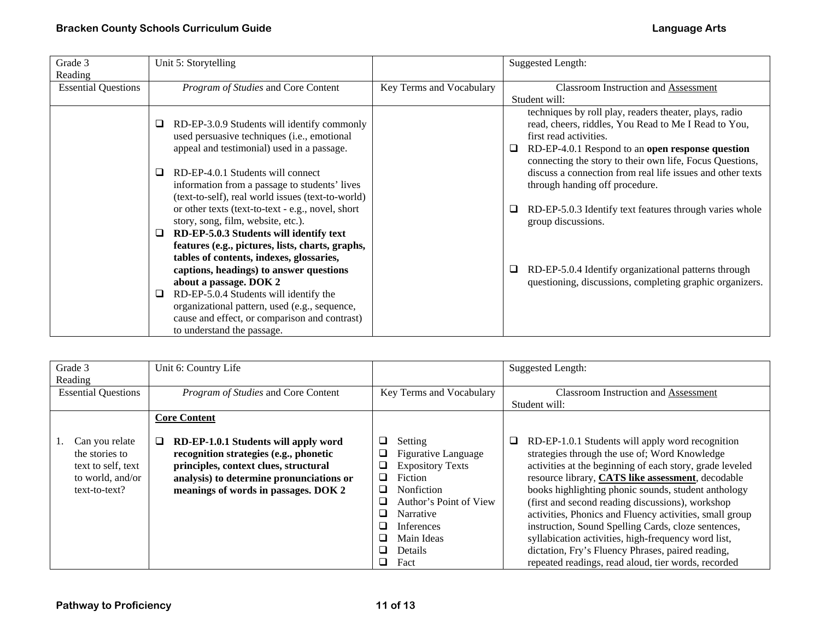| Grade 3                    | Unit 5: Storytelling                                                                                                                                                                                                                                                                                                                        |                          | <b>Suggested Length:</b>                                                                                                                                                                                                                                                                                                                                      |
|----------------------------|---------------------------------------------------------------------------------------------------------------------------------------------------------------------------------------------------------------------------------------------------------------------------------------------------------------------------------------------|--------------------------|---------------------------------------------------------------------------------------------------------------------------------------------------------------------------------------------------------------------------------------------------------------------------------------------------------------------------------------------------------------|
| Reading                    |                                                                                                                                                                                                                                                                                                                                             |                          |                                                                                                                                                                                                                                                                                                                                                               |
| <b>Essential Questions</b> | Program of Studies and Core Content                                                                                                                                                                                                                                                                                                         | Key Terms and Vocabulary | <b>Classroom Instruction and Assessment</b>                                                                                                                                                                                                                                                                                                                   |
|                            |                                                                                                                                                                                                                                                                                                                                             |                          | Student will:                                                                                                                                                                                                                                                                                                                                                 |
|                            | RD-EP-3.0.9 Students will identify commonly<br>used persuasive techniques (i.e., emotional<br>appeal and testimonial) used in a passage.<br>RD-EP-4.0.1 Students will connect<br>information from a passage to students' lives                                                                                                              |                          | techniques by roll play, readers theater, plays, radio<br>read, cheers, riddles, You Read to Me I Read to You,<br>first read activities.<br>RD-EP-4.0.1 Respond to an open response question<br>⊔<br>connecting the story to their own life, Focus Questions,<br>discuss a connection from real life issues and other texts<br>through handing off procedure. |
|                            | (text-to-self), real world issues (text-to-world)<br>or other texts (text-to-text - e.g., novel, short<br>story, song, film, website, etc.).<br>RD-EP-5.0.3 Students will identify text                                                                                                                                                     |                          | RD-EP-5.0.3 Identify text features through varies whole<br>group discussions.                                                                                                                                                                                                                                                                                 |
|                            | features (e.g., pictures, lists, charts, graphs,<br>tables of contents, indexes, glossaries,<br>captions, headings) to answer questions<br>about a passage. DOK 2<br>RD-EP-5.0.4 Students will identify the<br>organizational pattern, used (e.g., sequence,<br>cause and effect, or comparison and contrast)<br>to understand the passage. |                          | RD-EP-5.0.4 Identify organizational patterns through<br>questioning, discussions, completing graphic organizers.                                                                                                                                                                                                                                              |

| Grade 3                    | Unit 6: Country Life                      |                                 | <b>Suggested Length:</b>                                 |
|----------------------------|-------------------------------------------|---------------------------------|----------------------------------------------------------|
| Reading                    |                                           |                                 |                                                          |
| <b>Essential Questions</b> | Program of Studies and Core Content       | Key Terms and Vocabulary        | <b>Classroom Instruction and Assessment</b>              |
|                            |                                           |                                 | Student will:                                            |
|                            | <b>Core Content</b>                       |                                 |                                                          |
|                            |                                           |                                 |                                                          |
| Can you relate             | RD-EP-1.0.1 Students will apply word<br>⊔ | □<br>Setting                    | RD-EP-1.0.1 Students will apply word recognition         |
| the stories to             | recognition strategies (e.g., phonetic    | ⊔<br><b>Figurative Language</b> | strategies through the use of; Word Knowledge            |
| text to self, text         | principles, context clues, structural     | <b>Expository Texts</b><br>❏    | activities at the beginning of each story, grade leveled |
| to world, and/or           | analysis) to determine pronunciations or  | Fiction<br>□                    | resource library, CATS like assessment, decodable        |
| text-to-text?              | meanings of words in passages. DOK 2      | Nonfiction<br>⊔                 | books highlighting phonic sounds, student anthology      |
|                            |                                           | Author's Point of View<br>□     | (first and second reading discussions), workshop         |
|                            |                                           | □<br>Narrative                  | activities, Phonics and Fluency activities, small group  |
|                            |                                           | <b>Inferences</b><br>□          | instruction, Sound Spelling Cards, cloze sentences,      |
|                            |                                           | Main Ideas<br>$\Box$            | syllabication activities, high-frequency word list,      |
|                            |                                           | □<br>Details                    | dictation, Fry's Fluency Phrases, paired reading,        |
|                            |                                           | □<br>Fact                       | repeated readings, read aloud, tier words, recorded      |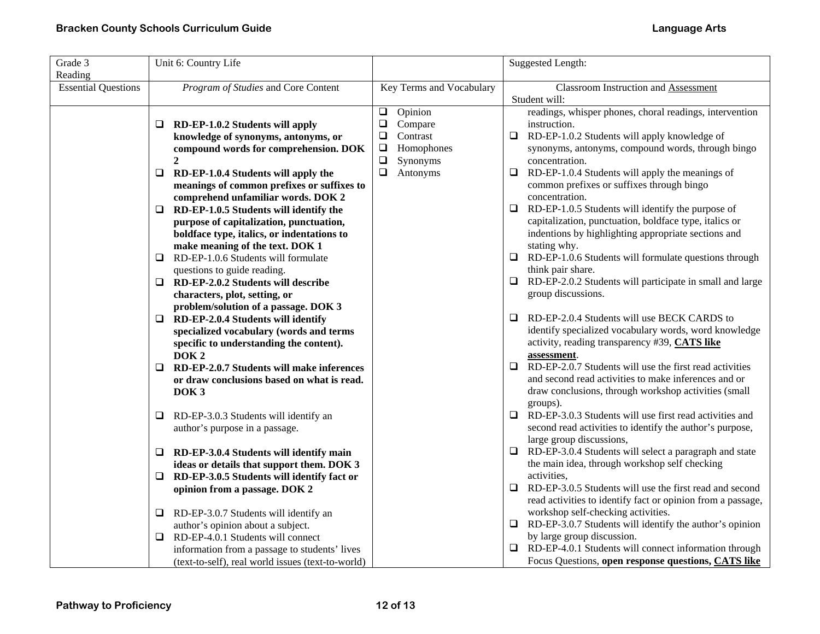| Grade 3                               | Unit 6: Country Life                                                                  |                          | <b>Suggested Length:</b>                                                                                              |
|---------------------------------------|---------------------------------------------------------------------------------------|--------------------------|-----------------------------------------------------------------------------------------------------------------------|
| Reading<br><b>Essential Questions</b> | Program of Studies and Core Content                                                   | Key Terms and Vocabulary | <b>Classroom Instruction and Assessment</b>                                                                           |
|                                       |                                                                                       |                          | Student will:                                                                                                         |
|                                       |                                                                                       | $\Box$<br>Opinion        | readings, whisper phones, choral readings, intervention                                                               |
|                                       | RD-EP-1.0.2 Students will apply<br>□                                                  | $\Box$<br>Compare        | instruction.                                                                                                          |
|                                       | knowledge of synonyms, antonyms, or                                                   | $\Box$<br>Contrast       | RD-EP-1.0.2 Students will apply knowledge of<br>$\Box$                                                                |
|                                       | compound words for comprehension. DOK                                                 | $\Box$<br>Homophones     | synonyms, antonyms, compound words, through bingo                                                                     |
|                                       | $\overline{2}$                                                                        | $\Box$<br>Synonyms       | concentration.                                                                                                        |
|                                       | $\Box$<br>RD-EP-1.0.4 Students will apply the                                         | $\Box$<br>Antonyms       | $\Box$<br>RD-EP-1.0.4 Students will apply the meanings of                                                             |
|                                       | meanings of common prefixes or suffixes to                                            |                          | common prefixes or suffixes through bingo                                                                             |
|                                       | comprehend unfamiliar words. DOK 2                                                    |                          | concentration.                                                                                                        |
|                                       | RD-EP-1.0.5 Students will identify the<br>□                                           |                          | RD-EP-1.0.5 Students will identify the purpose of<br>$\Box$<br>capitalization, punctuation, boldface type, italics or |
|                                       | purpose of capitalization, punctuation,<br>boldface type, italics, or indentations to |                          | indentions by highlighting appropriate sections and                                                                   |
|                                       | make meaning of the text. DOK 1                                                       |                          | stating why.                                                                                                          |
|                                       | RD-EP-1.0.6 Students will formulate<br>□                                              |                          | $\Box$ RD-EP-1.0.6 Students will formulate questions through                                                          |
|                                       | questions to guide reading.                                                           |                          | think pair share.                                                                                                     |
|                                       | $\Box$<br>RD-EP-2.0.2 Students will describe                                          |                          | RD-EP-2.0.2 Students will participate in small and large<br>□                                                         |
|                                       | characters, plot, setting, or                                                         |                          | group discussions.                                                                                                    |
|                                       | problem/solution of a passage. DOK 3                                                  |                          |                                                                                                                       |
|                                       | RD-EP-2.0.4 Students will identify<br>□                                               |                          | RD-EP-2.0.4 Students will use BECK CARDS to<br>$\Box$                                                                 |
|                                       | specialized vocabulary (words and terms                                               |                          | identify specialized vocabulary words, word knowledge                                                                 |
|                                       | specific to understanding the content).                                               |                          | activity, reading transparency #39, CATS like                                                                         |
|                                       | DOK <sub>2</sub>                                                                      |                          | assessment.                                                                                                           |
|                                       | RD-EP-2.0.7 Students will make inferences<br>□                                        |                          | RD-EP-2.0.7 Students will use the first read activities<br>$\Box$                                                     |
|                                       | or draw conclusions based on what is read.                                            |                          | and second read activities to make inferences and or                                                                  |
|                                       | DOK <sub>3</sub>                                                                      |                          | draw conclusions, through workshop activities (small                                                                  |
|                                       | RD-EP-3.0.3 Students will identify an<br>⊔                                            |                          | groups).<br>RD-EP-3.0.3 Students will use first read activities and<br>$\Box$                                         |
|                                       | author's purpose in a passage.                                                        |                          | second read activities to identify the author's purpose,                                                              |
|                                       |                                                                                       |                          | large group discussions,                                                                                              |
|                                       | RD-EP-3.0.4 Students will identify main<br>⊔                                          |                          | $\Box$ RD-EP-3.0.4 Students will select a paragraph and state                                                         |
|                                       | ideas or details that support them. DOK 3                                             |                          | the main idea, through workshop self checking                                                                         |
|                                       | RD-EP-3.0.5 Students will identify fact or<br>⊔                                       |                          | activities,                                                                                                           |
|                                       | opinion from a passage. DOK 2                                                         |                          | RD-EP-3.0.5 Students will use the first read and second<br>$\Box$                                                     |
|                                       |                                                                                       |                          | read activities to identify fact or opinion from a passage,                                                           |
|                                       | RD-EP-3.0.7 Students will identify an<br>⊔                                            |                          | workshop self-checking activities.                                                                                    |
|                                       | author's opinion about a subject.                                                     |                          | RD-EP-3.0.7 Students will identify the author's opinion<br>□                                                          |
|                                       | RD-EP-4.0.1 Students will connect<br>□                                                |                          | by large group discussion.                                                                                            |
|                                       | information from a passage to students' lives                                         |                          | $\Box$ RD-EP-4.0.1 Students will connect information through                                                          |
|                                       | (text-to-self), real world issues (text-to-world)                                     |                          | Focus Questions, open response questions, CATS like                                                                   |